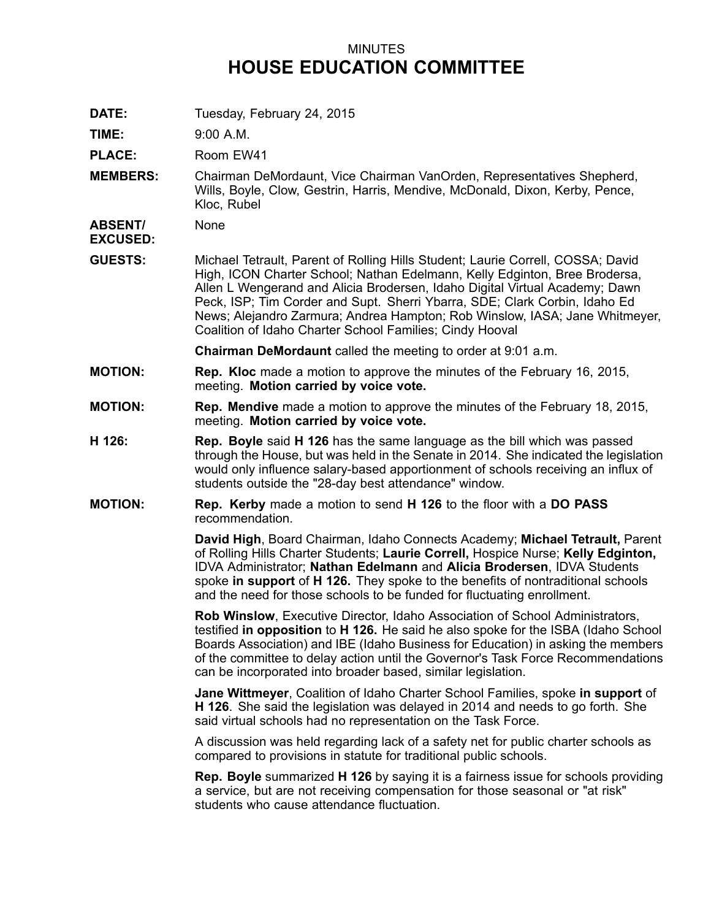## MINUTES **HOUSE EDUCATION COMMITTEE**

**DATE:** Tuesday, February 24, 2015

**TIME:** 9:00 A.M.

PLACE: Room EW41

**MEMBERS:** Chairman DeMordaunt, Vice Chairman VanOrden, Representatives Shepherd, Wills, Boyle, Clow, Gestrin, Harris, Mendive, McDonald, Dixon, Kerby, Pence, Kloc, Rubel

**ABSENT/** None

**EXCUSED:**

**GUESTS:** Michael Tetrault, Parent of Rolling Hills Student; Laurie Correll, COSSA; David High, ICON Charter School; Nathan Edelmann, Kelly Edginton, Bree Brodersa, Allen L Wengerand and Alicia Brodersen, Idaho Digital Virtual Academy; Dawn Peck, ISP; Tim Corder and Supt. Sherri Ybarra, SDE; Clark Corbin, Idaho Ed News; Alejandro Zarmura; Andrea Hampton; Rob Winslow, IASA; Jane Whitmeyer, Coalition of Idaho Charter School Families; Cindy Hooval

**Chairman DeMordaunt** called the meeting to order at 9:01 a.m.

- **MOTION: Rep. Kloc** made <sup>a</sup> motion to approve the minutes of the February 16, 2015, meeting. **Motion carried by voice vote.**
- **MOTION: Rep. Mendive** made <sup>a</sup> motion to approve the minutes of the February 18, 2015, meeting. **Motion carried by voice vote.**
- **H 126: Rep. Boyle** said **H 126** has the same language as the bill which was passed through the House, but was held in the Senate in 2014. She indicated the legislation would only influence salary-based apportionment of schools receiving an influx of students outside the "28-day best attendance" window.
- **MOTION: Rep. Kerby** made <sup>a</sup> motion to send **H 126** to the floor with <sup>a</sup> **DO PASS** recommendation.

**David High**, Board Chairman, Idaho Connects Academy; **Michael Tetrault,** Parent of Rolling Hills Charter Students; **Laurie Correll,** Hospice Nurse; **Kelly Edginton,** IDVA Administrator; **Nathan Edelmann** and **Alicia Brodersen**, IDVA Students spoke **in support** of **H 126.** They spoke to the benefits of nontraditional schools and the need for those schools to be funded for fluctuating enrollment.

**Rob Winslow**, Executive Director, Idaho Association of School Administrators, testified **in opposition** to **H 126.** He said he also spoke for the ISBA (Idaho School Boards Association) and IBE (Idaho Business for Education) in asking the members of the committee to delay action until the Governor's Task Force Recommendations can be incorporated into broader based, similar legislation.

**Jane Wittmeyer**, Coalition of Idaho Charter School Families, spoke **in support** of **H 126**. She said the legislation was delayed in 2014 and needs to go forth. She said virtual schools had no representation on the Task Force.

A discussion was held regarding lack of <sup>a</sup> safety net for public charter schools as compared to provisions in statute for traditional public schools.

**Rep. Boyle** summarized **H 126** by saying it is <sup>a</sup> fairness issue for schools providing <sup>a</sup> service, but are not receiving compensation for those seasonal or "at risk" students who cause attendance fluctuation.